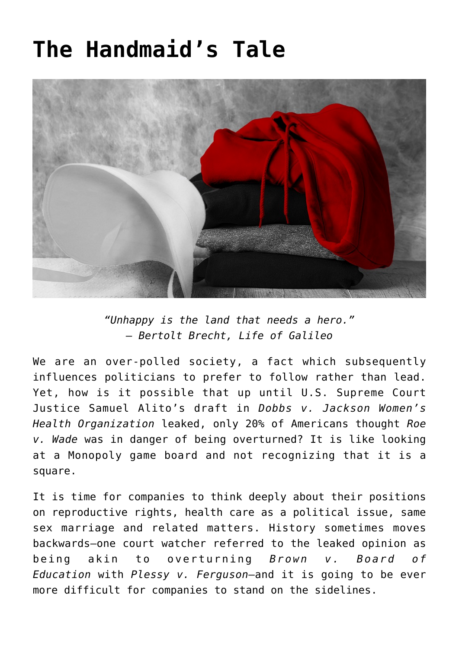### **[The Handmaid's Tale](https://www.commpro.biz/the-handmaids-tale/)**



*"Unhappy is the land that needs a hero." – Bertolt Brecht, Life of Galileo*

We are an over-polled society, a fact which subsequently influences politicians to prefer to follow rather than lead. Yet, how is it possible that up until U.S. Supreme Court Justice Samuel Alito's draft in *Dobbs v. Jackson Women's Health Organization* leaked, only 20% of Americans thought *Roe v. Wade* was in danger of being overturned? It is like looking at a Monopoly game board and not recognizing that it is a square.

It is time for companies to think deeply about their positions on reproductive rights, health care as a political issue, same sex marriage and related matters. History sometimes moves backwards—one court watcher referred to the leaked opinion as being akin to overturning *Brown v. Board of Education* with *Plessy v. Ferguson*—and it is going to be ever more difficult for companies to stand on the sidelines.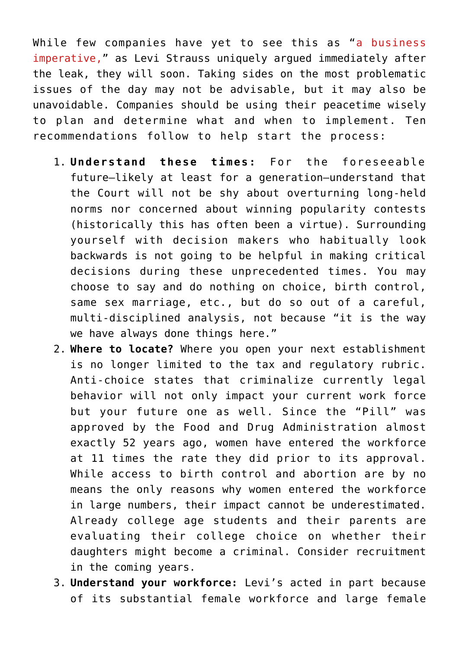While few companies have yet to see this as "[a business](https://www.levistrauss.com/2022/05/04/protecting-reproductive-rights-a-business-imperative/) [imperative](https://www.levistrauss.com/2022/05/04/protecting-reproductive-rights-a-business-imperative/)," as Levi Strauss uniquely argued immediately after the leak, they will soon. Taking sides on the most problematic issues of the day may not be advisable, but it may also be unavoidable. Companies should be using their peacetime wisely to plan and determine what and when to implement. Ten recommendations follow to help start the process:

- 1. **Understand these times:** For the foreseeable future—likely at least for a generation—understand that the Court will not be shy about overturning long-held norms nor concerned about winning popularity contests (historically this has often been a virtue). Surrounding yourself with decision makers who habitually look backwards is not going to be helpful in making critical decisions during these unprecedented times. You may choose to say and do nothing on choice, birth control, same sex marriage, etc., but do so out of a careful, multi-disciplined analysis, not because "it is the way we have always done things here."
- 2. **Where to locate?** Where you open your next establishment is no longer limited to the tax and regulatory rubric. Anti-choice states that criminalize currently legal behavior will not only impact your current work force but your future one as well. Since the "Pill" was approved by the Food and Drug Administration almost exactly 52 years ago, women have entered the workforce at 11 times the rate they did prior to its approval. While access to birth control and abortion are by no means the only reasons why women entered the workforce in large numbers, their impact cannot be underestimated. Already college age students and their parents are evaluating their college choice on whether their daughters might become a criminal. Consider recruitment in the coming years.
- 3. **Understand your workforce:** Levi's acted in part because of its substantial female workforce and large female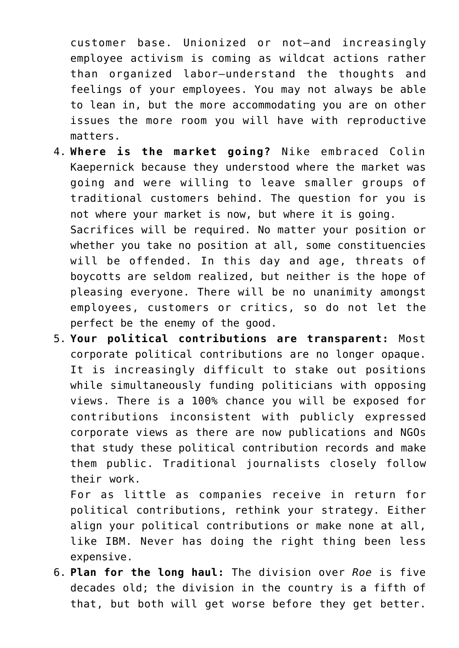customer base. Unionized or not—and increasingly employee activism is coming as wildcat actions rather than organized labor—understand the thoughts and feelings of your employees. You may not always be able to lean in, but the more accommodating you are on other issues the more room you will have with reproductive matters.

- 4. **Where is the market going?** Nike embraced Colin Kaepernick because they understood where the market was going and were willing to leave smaller groups of traditional customers behind. The question for you is not where your market is now, but where it is going. Sacrifices will be required. No matter your position or whether you take no position at all, some constituencies will be offended. In this day and age, threats of boycotts are seldom realized, but neither is the hope of pleasing everyone. There will be no unanimity amongst employees, customers or critics, so do not let the perfect be the enemy of the good.
- 5. **Your political contributions are transparent:** Most corporate political contributions are no longer opaque. It is increasingly difficult to stake out positions while simultaneously funding politicians with opposing views. There is a 100% chance you will be exposed for contributions inconsistent with publicly expressed corporate views as there are now publications and NGOs that study these political contribution records and make them public. Traditional journalists closely follow their work.

For as little as companies receive in return for political contributions, rethink your strategy. Either align your political contributions or make none at all, like IBM. Never has doing the right thing been less expensive.

6. **Plan for the long haul:** The division over *Roe* is five decades old; the division in the country is a fifth of that, but both will get worse before they get better.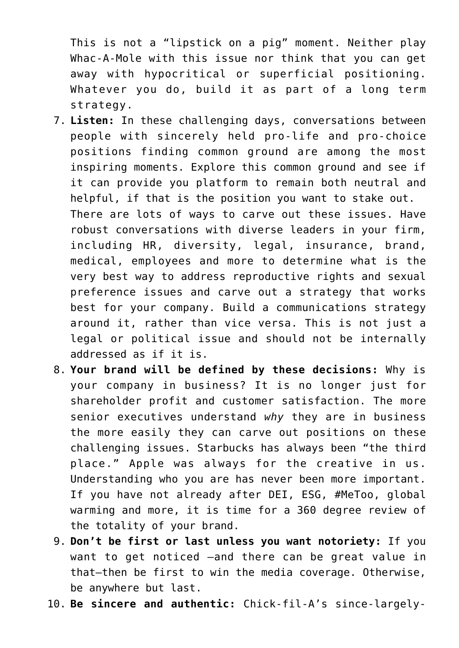This is not a "lipstick on a pig" moment. Neither play Whac-A-Mole with this issue nor think that you can get away with hypocritical or superficial positioning. Whatever you do, build it as part of a long term strategy.

- 7. **Listen:** In these challenging days, conversations between people with sincerely held pro-life and pro-choice positions finding common ground are among the most inspiring moments. Explore this common ground and see if it can provide you platform to remain both neutral and helpful, if that is the position you want to stake out. There are lots of ways to carve out these issues. Have robust conversations with diverse leaders in your firm, including HR, diversity, legal, insurance, brand, medical, employees and more to determine what is the very best way to address reproductive rights and sexual preference issues and carve out a strategy that works best for your company. Build a communications strategy around it, rather than vice versa. This is not just a legal or political issue and should not be internally addressed as if it is.
- 8. **Your brand will be defined by these decisions:** Why is your company in business? It is no longer just for shareholder profit and customer satisfaction. The more senior executives understand *why* they are in business the more easily they can carve out positions on these challenging issues. Starbucks has always been "the third place." Apple was always for the creative in us. Understanding who you are has never been more important. If you have not already after DEI, ESG, #MeToo, global warming and more, it is time for a 360 degree review of the totality of your brand.
- 9. **Don't be first or last unless you want notoriety:** If you want to get noticed —and there can be great value in that—then be first to win the media coverage. Otherwise, be anywhere but last.
- 10. **Be sincere and authentic:** Chick-fil-A's since-largely-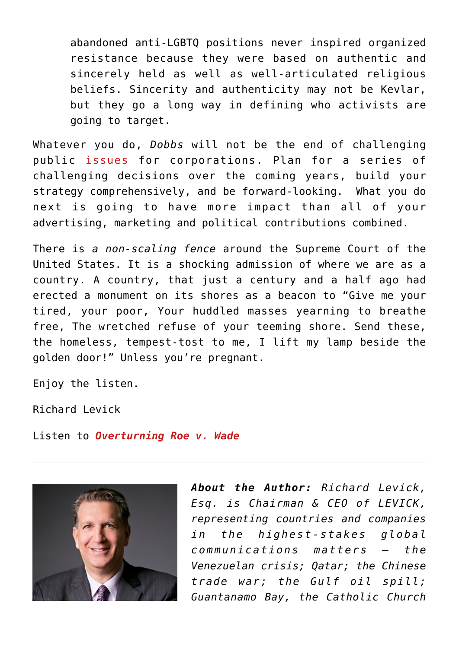abandoned anti-LGBTQ positions never inspired organized resistance because they were based on authentic and sincerely held as well as well-articulated religious beliefs. Sincerity and authenticity may not be Kevlar, but they go a long way in defining who activists are going to target.

Whatever you do, *Dobbs* will not be the end of challenging public [issues](https://www.commpro.biz/the-scarlet-letter/) for corporations. Plan for a series of challenging decisions over the coming years, build your strategy comprehensively, and be forward-looking. What you do next is going to have more impact than all of your advertising, marketing and political contributions combined.

There is *a non-scaling fence* around the Supreme Court of the United States. It is a shocking admission of where we are as a country. A country, that just a century and a half ago had erected a monument on its shores as a beacon to "Give me your tired, your poor, Your huddled masses yearning to breathe free, The wretched refuse of your teeming shore. Send these, the homeless, tempest-tost to me, I lift my lamp beside the golden door!" Unless you're pregnant.

Enjoy the listen.

Richard Levick

Listen to *[Overturning Roe v. Wade](https://www.levick.com/podcast/overturning-roe-v-wade-with-constitutional-scholar-supreme-court-watcher-steven-schwinn/)*



*About the Author: Richard Levick, Esq. is Chairman & CEO of LEVICK, representing countries and companies in the highest-stakes global communications matters – the Venezuelan crisis; Qatar; the Chinese trade war; the Gulf oil spill; Guantanamo Bay, the Catholic Church*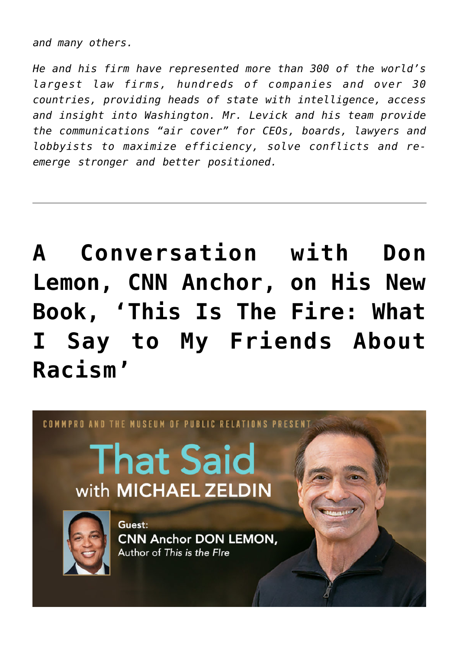*and many others.*

*He and his firm have represented more than 300 of the world's largest law firms, hundreds of companies and over 30 countries, providing heads of state with intelligence, access and insight into Washington. Mr. Levick and his team provide the communications "air cover" for CEOs, boards, lawyers and lobbyists to maximize efficiency, solve conflicts and reemerge stronger and better positioned.*

## **[A Conversation with Don](https://www.commpro.biz/conversation-with-don-lemon-cnn-anchor-on-his-new-book-this-is-the-fire-what-i-say-to-my-friends-about-racism/) [Lemon, CNN Anchor, on His New](https://www.commpro.biz/conversation-with-don-lemon-cnn-anchor-on-his-new-book-this-is-the-fire-what-i-say-to-my-friends-about-racism/) [Book, 'This Is The Fire: What](https://www.commpro.biz/conversation-with-don-lemon-cnn-anchor-on-his-new-book-this-is-the-fire-what-i-say-to-my-friends-about-racism/) [I Say to My Friends About](https://www.commpro.biz/conversation-with-don-lemon-cnn-anchor-on-his-new-book-this-is-the-fire-what-i-say-to-my-friends-about-racism/) [Racism'](https://www.commpro.biz/conversation-with-don-lemon-cnn-anchor-on-his-new-book-this-is-the-fire-what-i-say-to-my-friends-about-racism/)**

# COMMPRO AND THE MUSEUM OF PUBLIC RELATIONS PRESENT. **That Said** with MICHAEL ZELDIN Guest: **CNN Anchor DON LEMON,** Author of This is the Flre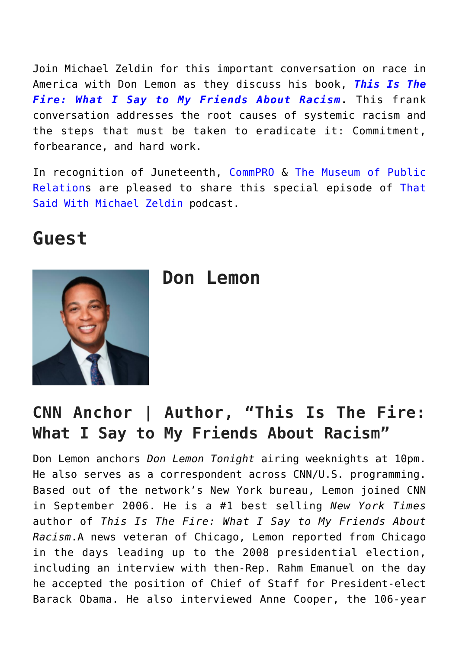Join Michael Zeldin for this important conversation on race in America with Don Lemon as they discuss his book, *[This Is The](https://www.amazon.com/dp/B08LDM3PP9/ref=dp-kindle-redirect?_encoding=UTF8&btkr=1) [Fire: What I Say to My Friends About Racism](https://www.amazon.com/dp/B08LDM3PP9/ref=dp-kindle-redirect?_encoding=UTF8&btkr=1)***.** This frank conversation addresses the root causes of systemic racism and the steps that must be taken to eradicate it: Commitment, forbearance, and hard work.

In recognition of Juneteenth, [CommPRO](https://www.commpro.biz/) & [The Museum of Public](https://www.prmuseum.org/) [Relations](https://www.prmuseum.org/) are pleased to share this special episode of [That](https://www.commpro.biz/that-said-with-michael-zeldin/) [Said With Michael Zeldin](https://www.commpro.biz/that-said-with-michael-zeldin/) podcast.

### **Guest**



**Don Lemon**

### **CNN Anchor | Author, "This Is The Fire: What I Say to My Friends About Racism"**

Don Lemon anchors *Don Lemon Tonight* airing weeknights at 10pm. He also serves as a correspondent across CNN/U.S. programming. Based out of the network's New York bureau, Lemon joined CNN in September 2006. He is a #1 best selling *New York Times* author of *This Is The Fire: What I Say to My Friends About Racism*.A news veteran of Chicago, Lemon reported from Chicago in the days leading up to the 2008 presidential election, including an interview with then-Rep. Rahm Emanuel on the day he accepted the position of Chief of Staff for President-elect Barack Obama. He also interviewed Anne Cooper, the 106-year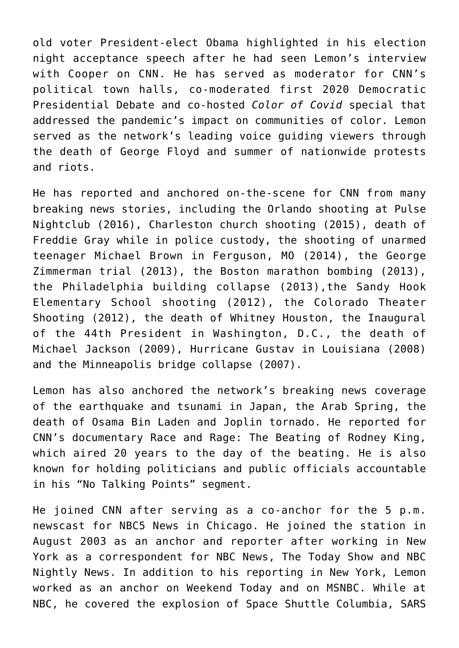old voter President-elect Obama highlighted in his election night acceptance speech after he had seen Lemon's interview with Cooper on CNN. He has served as moderator for CNN's political town halls, co-moderated first 2020 Democratic Presidential Debate and co-hosted *Color of Covid* special that addressed the pandemic's impact on communities of color. Lemon served as the network's leading voice guiding viewers through the death of George Floyd and summer of nationwide protests and riots.

He has reported and anchored on-the-scene for CNN from many breaking news stories, including the Orlando shooting at Pulse Nightclub (2016), Charleston church shooting (2015), death of Freddie Gray while in police custody, the shooting of unarmed teenager Michael Brown in Ferguson, MO (2014), the George Zimmerman trial (2013), the Boston marathon bombing (2013), the Philadelphia building collapse (2013),the Sandy Hook Elementary School shooting (2012), the Colorado Theater Shooting (2012), the death of Whitney Houston, the Inaugural of the 44th President in Washington, D.C., the death of Michael Jackson (2009), Hurricane Gustav in Louisiana (2008) and the Minneapolis bridge collapse (2007).

Lemon has also anchored the network's breaking news coverage of the earthquake and tsunami in Japan, the Arab Spring, the death of Osama Bin Laden and Joplin tornado. He reported for CNN's documentary Race and Rage: The Beating of Rodney King, which aired 20 years to the day of the beating. He is also known for holding politicians and public officials accountable in his "No Talking Points" segment.

He joined CNN after serving as a co-anchor for the 5 p.m. newscast for NBC5 News in Chicago. He joined the station in August 2003 as an anchor and reporter after working in New York as a correspondent for NBC News, The Today Show and NBC Nightly News. In addition to his reporting in New York, Lemon worked as an anchor on Weekend Today and on MSNBC. While at NBC, he covered the explosion of Space Shuttle Columbia, SARS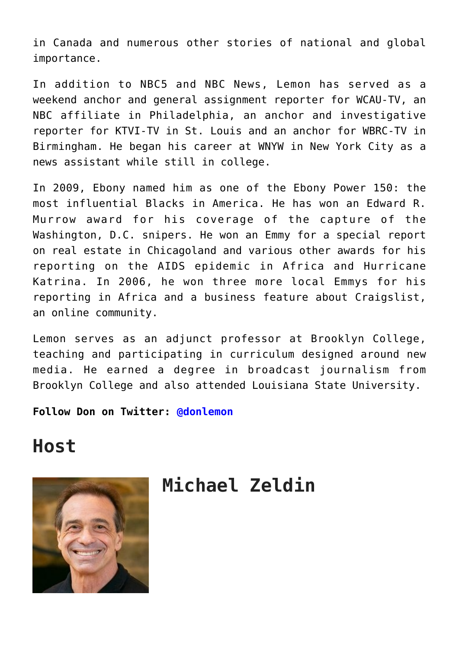in Canada and numerous other stories of national and global importance.

In addition to NBC5 and NBC News, Lemon has served as a weekend anchor and general assignment reporter for WCAU-TV, an NBC affiliate in Philadelphia, an anchor and investigative reporter for KTVI-TV in St. Louis and an anchor for WBRC-TV in Birmingham. He began his career at WNYW in New York City as a news assistant while still in college.

In 2009, Ebony named him as one of the Ebony Power 150: the most influential Blacks in America. He has won an Edward R. Murrow award for his coverage of the capture of the Washington, D.C. snipers. He won an Emmy for a special report on real estate in Chicagoland and various other awards for his reporting on the AIDS epidemic in Africa and Hurricane Katrina. In 2006, he won three more local Emmys for his reporting in Africa and a business feature about Craigslist, an online community.

Lemon serves as an adjunct professor at Brooklyn College, teaching and participating in curriculum designed around new media. He earned a degree in broadcast journalism from Brooklyn College and also attended Louisiana State University.

**Follow Don on Twitter: [@donlemon](https://twitter.com/donlemon?ref_src=twsrc%5Egoogle%7Ctwcamp%5Eserp%7Ctwgr%5Eauthor)**

### **Host**



### **Michael Zeldin**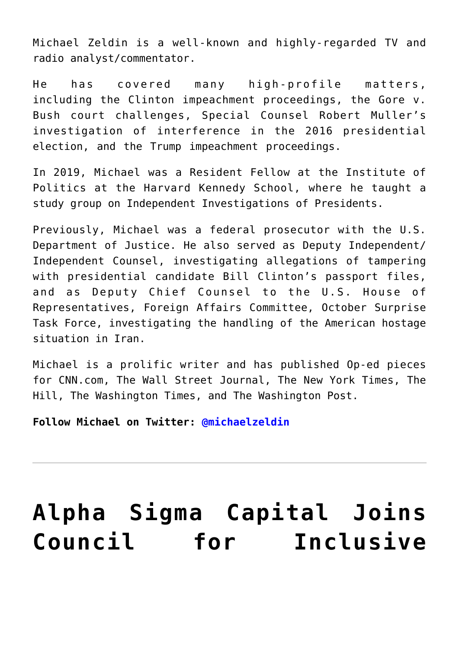Michael Zeldin is a well-known and highly-regarded TV and radio analyst/commentator.

He has covered many high-profile matters, including the Clinton impeachment proceedings, the Gore v. Bush court challenges, Special Counsel Robert Muller's investigation of interference in the 2016 presidential election, and the Trump impeachment proceedings.

In 2019, Michael was a Resident Fellow at the Institute of Politics at the Harvard Kennedy School, where he taught a study group on Independent Investigations of Presidents.

Previously, Michael was a federal prosecutor with the U.S. Department of Justice. He also served as Deputy Independent/ Independent Counsel, investigating allegations of tampering with presidential candidate Bill Clinton's passport files, and as Deputy Chief Counsel to the U.S. House of Representatives, Foreign Affairs Committee, October Surprise Task Force, investigating the handling of the American hostage situation in Iran.

Michael is a prolific writer and has published Op-ed pieces for CNN.com, The Wall Street Journal, The New York Times, The Hill, The Washington Times, and The Washington Post.

**Follow Michael on Twitter: [@michaelzeldin](https://twitter.com/michaelzeldin?lang=en)**

## **[Alpha Sigma Capital Joins](https://www.commpro.biz/alpha-sigma-capital-joins-council-for-inclusive-capitalism/) [Council for Inclusive](https://www.commpro.biz/alpha-sigma-capital-joins-council-for-inclusive-capitalism/)**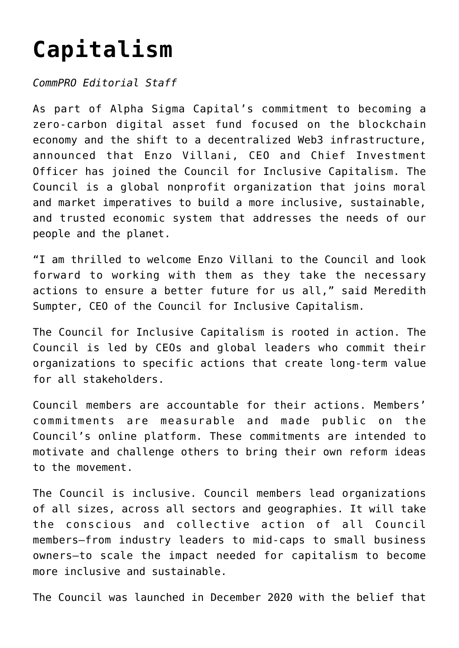## **[Capitalism](https://www.commpro.biz/alpha-sigma-capital-joins-council-for-inclusive-capitalism/)**

*CommPRO Editorial Staff*

As part of Alpha Sigma Capital's commitment to becoming a zero-carbon digital asset fund focused on the blockchain economy and the shift to a decentralized Web3 infrastructure, [announced](https://blockchainwire.io/press-release/alpha-sigma-capital-joins-council-for-inclusive-capitalism) that Enzo Villani, CEO and Chief Investment Officer has joined the Council for Inclusive Capitalism. The Council is a global nonprofit organization that joins moral and market imperatives to build a more inclusive, sustainable, and trusted economic system that addresses the needs of our people and the planet.

"I am thrilled to welcome Enzo Villani to the Council and look forward to working with them as they take the necessary actions to ensure a better future for us all," said Meredith Sumpter, CEO of the Council for Inclusive Capitalism.

The Council for Inclusive Capitalism is rooted in action. The Council is led by CEOs and global leaders who commit their organizations to specific actions that create long-term value for all stakeholders.

Council members are accountable for their actions. Members' commitments are measurable and made public on the Council's online platform. These commitments are intended to motivate and challenge others to bring their own reform ideas to the movement.

The Council is inclusive. Council members lead organizations of all sizes, across all sectors and geographies. It will take the conscious and collective action of all Council members—from industry leaders to mid-caps to small business owners—to scale the impact needed for capitalism to become more inclusive and sustainable.

The Council was launched in December 2020 with the belief that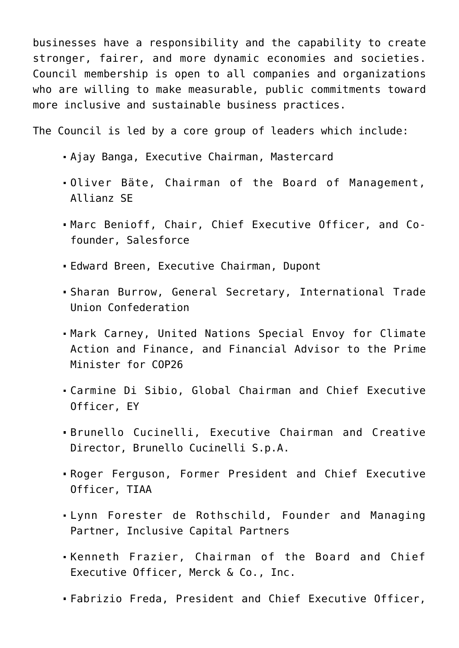businesses have a responsibility and the capability to create stronger, fairer, and more dynamic economies and societies. Council membership is open to all companies and organizations who are willing to make measurable, public commitments toward more inclusive and sustainable business practices.

The Council is led by a core group of leaders which include:

- Ajay Banga, Executive Chairman, Mastercard
- Oliver Bäte, Chairman of the Board of Management, Allianz SE
- Marc Benioff, Chair, Chief Executive Officer, and Cofounder, Salesforce
- Edward Breen, Executive Chairman, Dupont
- Sharan Burrow, General Secretary, International Trade Union Confederation
- Mark Carney, United Nations Special Envoy for Climate Action and Finance, and Financial Advisor to the Prime Minister for COP26
- Carmine Di Sibio, Global Chairman and Chief Executive Officer, EY
- Brunello Cucinelli, Executive Chairman and Creative Director, Brunello Cucinelli S.p.A.
- Roger Ferguson, Former President and Chief Executive Officer, TIAA
- Lynn Forester de Rothschild, Founder and Managing Partner, Inclusive Capital Partners
- Kenneth Frazier, Chairman of the Board and Chief Executive Officer, Merck & Co., Inc.
- Fabrizio Freda, President and Chief Executive Officer,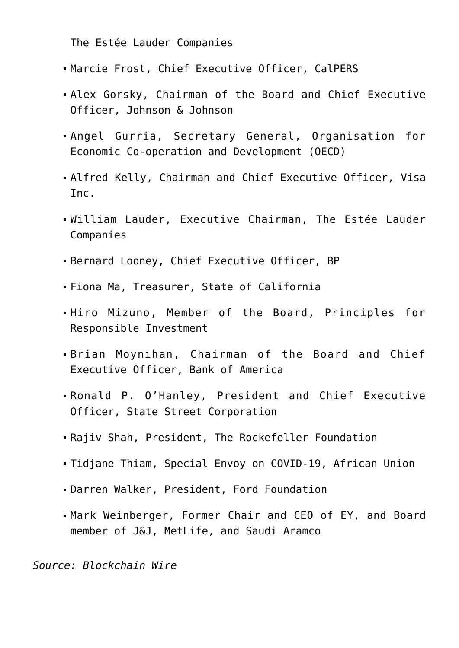The Estée Lauder Companies

- Marcie Frost, Chief Executive Officer, CalPERS
- Alex Gorsky, Chairman of the Board and Chief Executive Officer, Johnson & Johnson
- Angel Gurria, Secretary General, Organisation for Economic Co-operation and Development (OECD)
- Alfred Kelly, Chairman and Chief Executive Officer, Visa Inc.
- William Lauder, Executive Chairman, The Estée Lauder Companies
- Bernard Looney, Chief Executive Officer, BP
- Fiona Ma, Treasurer, State of California
- Hiro Mizuno, Member of the Board, Principles for Responsible Investment
- Brian Moynihan, Chairman of the Board and Chief Executive Officer, Bank of America
- Ronald P. O'Hanley, President and Chief Executive Officer, State Street Corporation
- Rajiv Shah, President, The Rockefeller Foundation
- Tidjane Thiam, Special Envoy on COVID-19, African Union
- Darren Walker, President, Ford Foundation
- Mark Weinberger, Former Chair and CEO of EY, and Board member of J&J, MetLife, and Saudi Aramco

*Source: [Blockchain Wire](https://blockchainwire.io/)*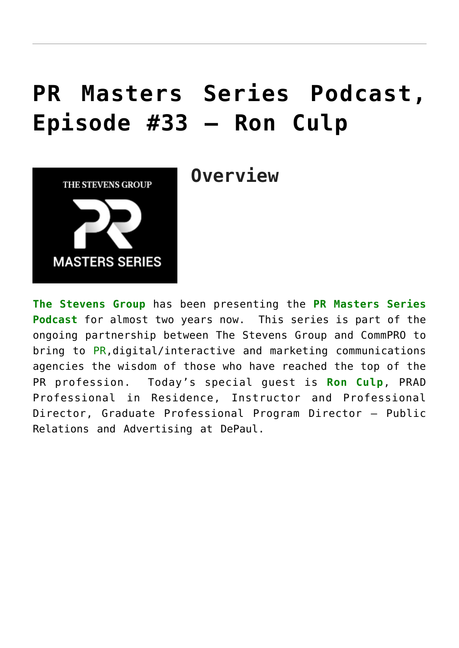### **[PR Masters Series Podcast,](https://www.commpro.biz/pr-masters-series-podcast-episode-33/) [Episode #33 – Ron Culp](https://www.commpro.biz/pr-masters-series-podcast-episode-33/)**



**Overview**

**[The Stevens Group](https://theartstevensgroup.com/)** has been presenting the **[PR Masters Series](https://www.commpro.biz/pr-masters-series/) [Podcast](https://www.commpro.biz/pr-masters-series/)** for almost two years now. This series is part of the ongoing partnership between The Stevens Group and CommPRO to bring to [PR,](https://www.commpro.biz/mergers-acquisitions/)digital/interactive and marketing communications agencies the wisdom of those who have reached the top of the PR profession. Today's special guest is **[Ron Culp](https://www.culpwrit.com/about/)**, PRAD Professional in Residence, Instructor and Professional Director, Graduate Professional Program Director – Public Relations and Advertising at DePaul.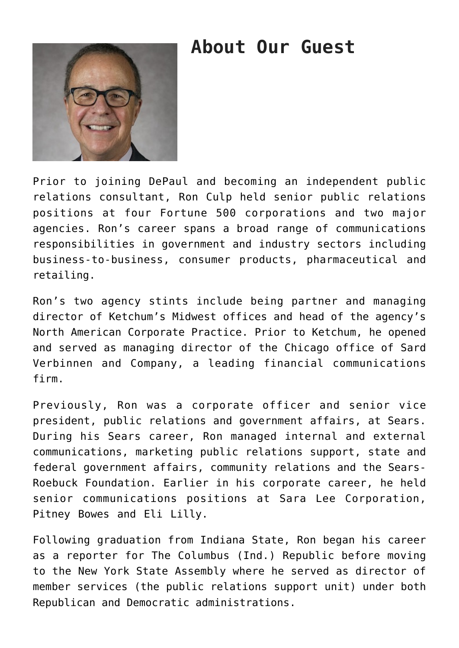### **About Our Guest**



Prior to joining DePaul and becoming an independent public relations consultant, Ron Culp held senior public relations positions at four Fortune 500 corporations and two major agencies. Ron's career spans a broad range of communications responsibilities in government and industry sectors including business-to-business, consumer products, pharmaceutical and retailing.

Ron's two agency stints include being partner and managing director of Ketchum's Midwest offices and head of the agency's North American Corporate Practice. Prior to Ketchum, he opened and served as managing director of the Chicago office of Sard Verbinnen and Company, a leading financial communications firm.

Previously, Ron was a corporate officer and senior vice president, public relations and government affairs, at Sears. During his Sears career, Ron managed internal and external communications, marketing public relations support, state and federal government affairs, community relations and the Sears-Roebuck Foundation. Earlier in his corporate career, he held senior communications positions at Sara Lee Corporation, Pitney Bowes and Eli Lilly.

Following graduation from Indiana State, Ron began his career as a reporter for The Columbus (Ind.) Republic before moving to the New York State Assembly where he served as director of member services (the public relations support unit) under both Republican and Democratic administrations.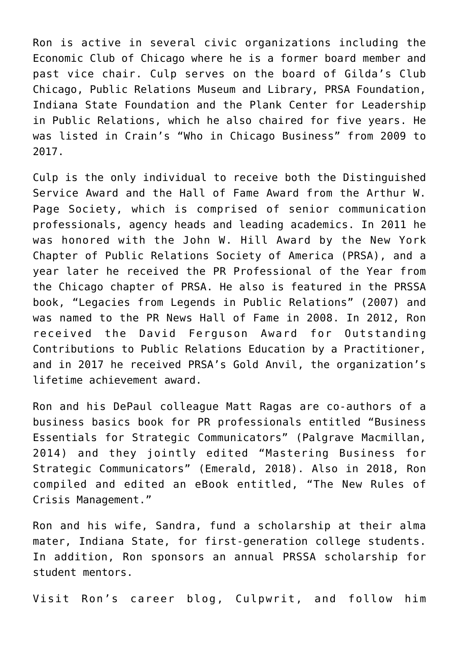Ron is active in several civic organizations including the Economic Club of Chicago where he is a former board member and past vice chair. Culp serves on the board of Gilda's Club Chicago, Public Relations Museum and Library, PRSA Foundation, Indiana State Foundation and the Plank Center for Leadership in Public Relations, which he also chaired for five years. He was listed in Crain's "Who in Chicago Business" from 2009 to 2017.

Culp is the only individual to receive both the Distinguished Service Award and the Hall of Fame Award from the Arthur W. Page Society, which is comprised of senior communication professionals, agency heads and leading academics. In 2011 he was honored with the John W. Hill Award by the New York Chapter of Public Relations Society of America (PRSA), and a year later he received the PR Professional of the Year from the Chicago chapter of PRSA. He also is featured in the PRSSA book, "Legacies from Legends in Public Relations" (2007) and was named to the PR News Hall of Fame in 2008. In 2012, Ron received the David Ferguson Award for Outstanding Contributions to Public Relations Education by a Practitioner, and in 2017 he received PRSA's Gold Anvil, the organization's lifetime achievement award.

Ron and his DePaul colleague Matt Ragas are co-authors of a business basics book for PR professionals entitled "Business Essentials for Strategic Communicators" (Palgrave Macmillan, 2014) and they jointly edited "Mastering Business for Strategic Communicators" (Emerald, 2018). Also in 2018, Ron compiled and edited an eBook entitled, "The New Rules of Crisis Management."

Ron and his wife, Sandra, fund a scholarship at their alma mater, Indiana State, for first-generation college students. In addition, Ron sponsors an annual PRSSA scholarship for student mentors.

Visit Ron's career blog, [Culpwrit,](http://www.culpwrit.com/) and follow him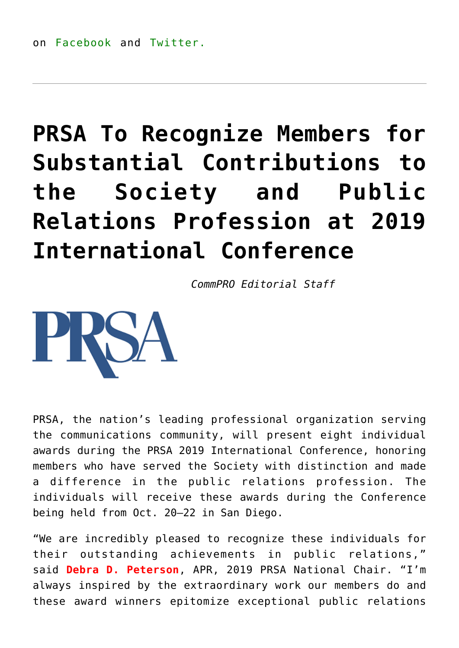## **[PRSA To Recognize Members for](https://www.commpro.biz/prsa-to-recognize-members-for-substantial-contributions-to-the-society-and-public-relations-profession-at-2019-international-conference/) [Substantial Contributions to](https://www.commpro.biz/prsa-to-recognize-members-for-substantial-contributions-to-the-society-and-public-relations-profession-at-2019-international-conference/) [the Society and Public](https://www.commpro.biz/prsa-to-recognize-members-for-substantial-contributions-to-the-society-and-public-relations-profession-at-2019-international-conference/) [Relations Profession at 2019](https://www.commpro.biz/prsa-to-recognize-members-for-substantial-contributions-to-the-society-and-public-relations-profession-at-2019-international-conference/) [International Conference](https://www.commpro.biz/prsa-to-recognize-members-for-substantial-contributions-to-the-society-and-public-relations-profession-at-2019-international-conference/)**

*[CommPRO](https://www.commpro.biz/) Editorial Staff*



PRSA, the nation's leading professional organization serving the communications community, will present eight individual awards during the PRSA 2019 International Conference, honoring members who have served the Society with distinction and made a difference in the public relations profession. The individuals will receive these awards during the Conference being held from Oct. 20–22 in San Diego.

"We are incredibly pleased to recognize these individuals for their outstanding achievements in public relations," said **Debra D. Peterson**, APR, 2019 PRSA National Chair. "I'm always inspired by the extraordinary work our members do and these award winners epitomize exceptional public relations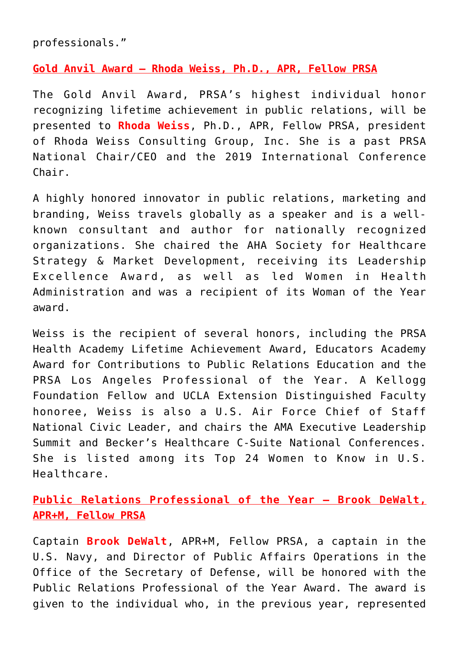professionals."

#### **Gold Anvil Award – Rhoda Weiss, Ph.D., APR, Fellow PRSA**

The Gold Anvil Award, PRSA's highest individual honor recognizing lifetime achievement in public relations, will be presented to **Rhoda Weiss**, Ph.D., APR, Fellow PRSA, president of Rhoda Weiss Consulting Group, Inc. She is a past PRSA National Chair/CEO and the 2019 International Conference Chair.

A highly honored innovator in public relations, marketing and branding, Weiss travels globally as a speaker and is a wellknown consultant and author for nationally recognized organizations. She chaired the AHA Society for Healthcare Strategy & Market Development, receiving its Leadership Excellence Award, as well as led Women in Health Administration and was a recipient of its Woman of the Year award.

Weiss is the recipient of several honors, including the PRSA Health Academy Lifetime Achievement Award, Educators Academy Award for Contributions to Public Relations Education and the PRSA Los Angeles Professional of the Year. A Kellogg Foundation Fellow and UCLA Extension Distinguished Faculty honoree, Weiss is also a U.S. Air Force Chief of Staff National Civic Leader, and chairs the AMA Executive Leadership Summit and Becker's Healthcare C-Suite National Conferences. She is listed among its Top 24 Women to Know in U.S. Healthcare.

**Public Relations Professional of the Year – Brook DeWalt, APR+M, Fellow PRSA**

Captain **Brook DeWalt**, APR+M, Fellow PRSA, a captain in the U.S. Navy, and Director of Public Affairs Operations in the Office of the Secretary of Defense, will be honored with the Public Relations Professional of the Year Award. The award is given to the individual who, in the previous year, represented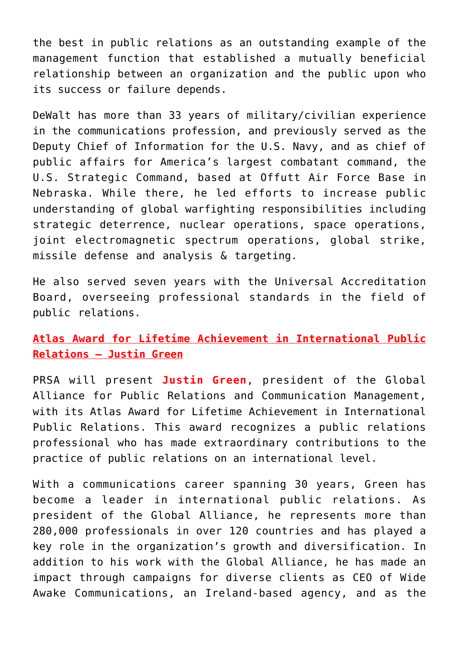the best in public relations as an outstanding example of the management function that established a mutually beneficial relationship between an organization and the public upon who its success or failure depends.

DeWalt has more than 33 years of military/civilian experience in the communications profession, and previously served as the Deputy Chief of Information for the U.S. Navy, and as chief of public affairs for America's largest combatant command, the U.S. Strategic Command, based at Offutt Air Force Base in Nebraska. While there, he led efforts to increase public understanding of global warfighting responsibilities including strategic deterrence, nuclear operations, space operations, joint electromagnetic spectrum operations, global strike, missile defense and analysis & targeting.

He also served seven years with the Universal Accreditation Board, overseeing professional standards in the field of public relations.

**Atlas Award for Lifetime Achievement in International Public Relations – Justin Green**

PRSA will present **Justin Green**, president of the Global Alliance for Public Relations and Communication Management, with its Atlas Award for Lifetime Achievement in International Public Relations. This award recognizes a public relations professional who has made extraordinary contributions to the practice of public relations on an international level.

With a communications career spanning 30 years, Green has become a leader in international public relations. As president of the Global Alliance, he represents more than 280,000 professionals in over 120 countries and has played a key role in the organization's growth and diversification. In addition to his work with the Global Alliance, he has made an impact through campaigns for diverse clients as CEO of Wide Awake Communications, an Ireland-based agency, and as the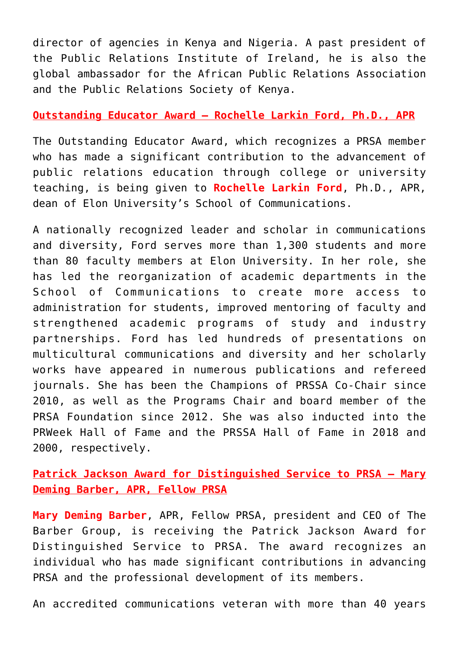director of agencies in Kenya and Nigeria. A past president of the Public Relations Institute of Ireland, he is also the global ambassador for the African Public Relations Association and the Public Relations Society of Kenya.

#### **Outstanding Educator Award – Rochelle Larkin Ford, Ph.D., APR**

The Outstanding Educator Award, which recognizes a PRSA member who has made a significant contribution to the advancement of public relations education through college or university teaching, is being given to **Rochelle Larkin Ford**, Ph.D., APR, dean of Elon University's School of Communications.

A nationally recognized leader and scholar in communications and diversity, Ford serves more than 1,300 students and more than 80 faculty members at Elon University. In her role, she has led the reorganization of academic departments in the School of Communications to create more access to administration for students, improved mentoring of faculty and strengthened academic programs of study and industry partnerships. Ford has led hundreds of presentations on multicultural communications and diversity and her scholarly works have appeared in numerous publications and refereed journals. She has been the Champions of PRSSA Co-Chair since 2010, as well as the Programs Chair and board member of the PRSA Foundation since 2012. She was also inducted into the PRWeek Hall of Fame and the PRSSA Hall of Fame in 2018 and 2000, respectively.

**Patrick Jackson Award for Distinguished Service to PRSA – Mary Deming Barber, APR, Fellow PRSA**

**Mary Deming Barber**, APR, Fellow PRSA, president and CEO of The Barber Group, is receiving the Patrick Jackson Award for Distinguished Service to PRSA. The award recognizes an individual who has made significant contributions in advancing PRSA and the professional development of its members.

An accredited communications veteran with more than 40 years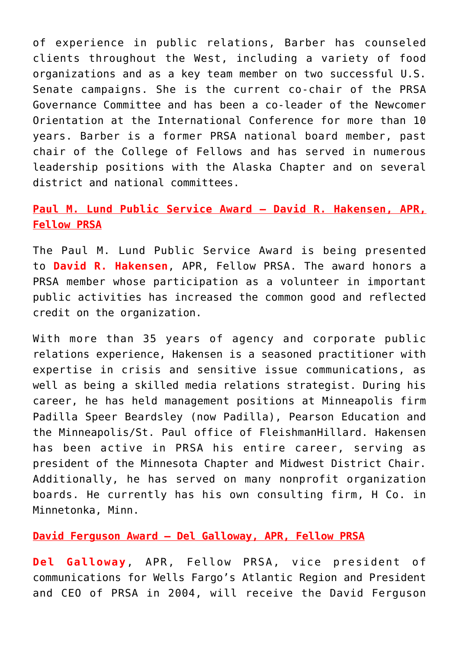of experience in public relations, Barber has counseled clients throughout the West, including a variety of food organizations and as a key team member on two successful U.S. Senate campaigns. She is the current co-chair of the PRSA Governance Committee and has been a co-leader of the Newcomer Orientation at the International Conference for more than 10 years. Barber is a former PRSA national board member, past chair of the College of Fellows and has served in numerous leadership positions with the Alaska Chapter and on several district and national committees.

#### **Paul M. Lund Public Service Award – David R. Hakensen, APR, Fellow PRSA**

The Paul M. Lund Public Service Award is being presented to **David R. Hakensen**, APR, Fellow PRSA. The award honors a PRSA member whose participation as a volunteer in important public activities has increased the common good and reflected credit on the organization.

With more than 35 years of agency and corporate public relations experience, Hakensen is a seasoned practitioner with expertise in crisis and sensitive issue communications, as well as being a skilled media relations strategist. During his career, he has held management positions at Minneapolis firm Padilla Speer Beardsley (now Padilla), Pearson Education and the Minneapolis/St. Paul office of FleishmanHillard. Hakensen has been active in PRSA his entire career, serving as president of the Minnesota Chapter and Midwest District Chair. Additionally, he has served on many nonprofit organization boards. He currently has his own consulting firm, H Co. in Minnetonka, Minn.

#### **David Ferguson Award – Del Galloway, APR, Fellow PRSA**

**Del Galloway**, APR, Fellow PRSA, vice president of communications for Wells Fargo's Atlantic Region and President and CEO of PRSA in 2004, will receive the David Ferguson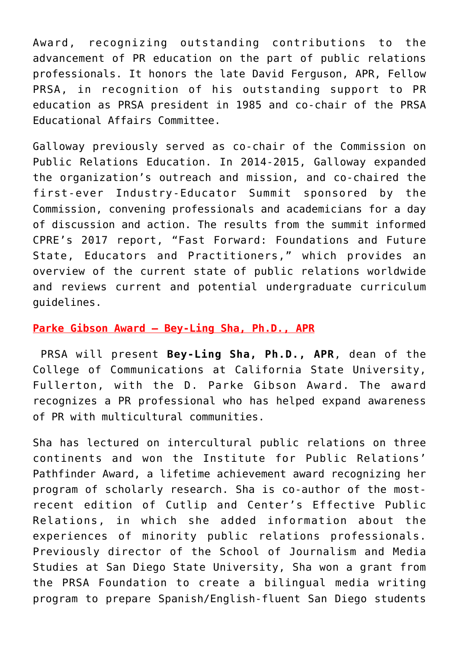Award, recognizing outstanding contributions to the advancement of PR education on the part of public relations professionals. It honors the late David Ferguson, APR, Fellow PRSA, in recognition of his outstanding support to PR education as PRSA president in 1985 and co-chair of the PRSA Educational Affairs Committee.

Galloway previously served as co-chair of the Commission on Public Relations Education. In 2014-2015, Galloway expanded the organization's outreach and mission, and co-chaired the first-ever Industry-Educator Summit sponsored by the Commission, convening professionals and academicians for a day of discussion and action. The results from the summit informed CPRE's 2017 report, "Fast Forward: Foundations and Future State, Educators and Practitioners," which provides an overview of the current state of public relations worldwide and reviews current and potential undergraduate curriculum guidelines.

#### **Parke Gibson Award – Bey-Ling Sha, Ph.D., APR**

PRSA will present **Bey-Ling Sha, Ph.D., APR**, dean of the College of Communications at California State University, Fullerton, with the D. Parke Gibson Award. The award recognizes a PR professional who has helped expand awareness of PR with multicultural communities.

Sha has lectured on intercultural public relations on three continents and won the Institute for Public Relations' Pathfinder Award, a lifetime achievement award recognizing her program of scholarly research. Sha is co-author of the mostrecent edition of Cutlip and Center's Effective Public Relations, in which she added information about the experiences of minority public relations professionals. Previously director of the School of Journalism and Media Studies at San Diego State University, Sha won a grant from the PRSA Foundation to create a bilingual media writing program to prepare Spanish/English-fluent San Diego students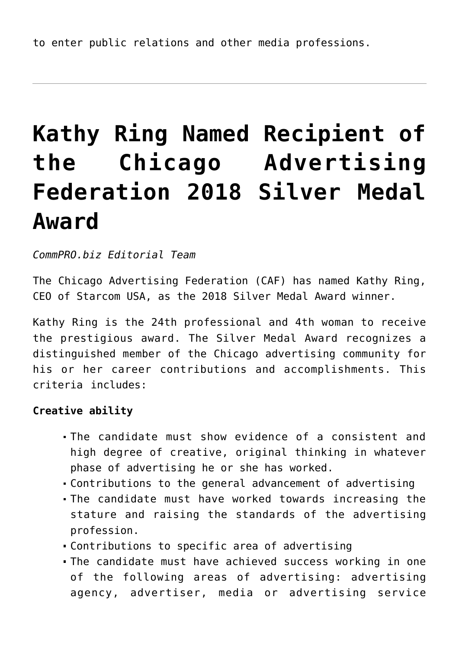## **[Kathy Ring Named Recipient of](https://www.commpro.biz/kathy-ring-named-recipient-of-the-chicago-advertising-federation-2018-silver-medal-award/) [the Chicago Advertising](https://www.commpro.biz/kathy-ring-named-recipient-of-the-chicago-advertising-federation-2018-silver-medal-award/) [Federation 2018 Silver Medal](https://www.commpro.biz/kathy-ring-named-recipient-of-the-chicago-advertising-federation-2018-silver-medal-award/) [Award](https://www.commpro.biz/kathy-ring-named-recipient-of-the-chicago-advertising-federation-2018-silver-medal-award/)**

*[CommPRO.biz](https://www.commpro.biz) Editorial Team*

The Chicago Advertising Federation (CAF) has named Kathy Ring, CEO of Starcom USA, as the 2018 Silver Medal Award winner.

Kathy Ring is the 24th professional and 4th woman to receive the prestigious award. The Silver Medal Award recognizes a distinguished member of the Chicago advertising community for his or her career contributions and accomplishments. This criteria includes:

#### **Creative ability**

- The candidate must show evidence of a consistent and high degree of creative, original thinking in whatever phase of advertising he or she has worked.
- Contributions to the general advancement of advertising
- The candidate must have worked towards increasing the stature and raising the standards of the advertising profession.
- Contributions to specific area of advertising
- The candidate must have achieved success working in one of the following areas of advertising: advertising agency, advertiser, media or advertising service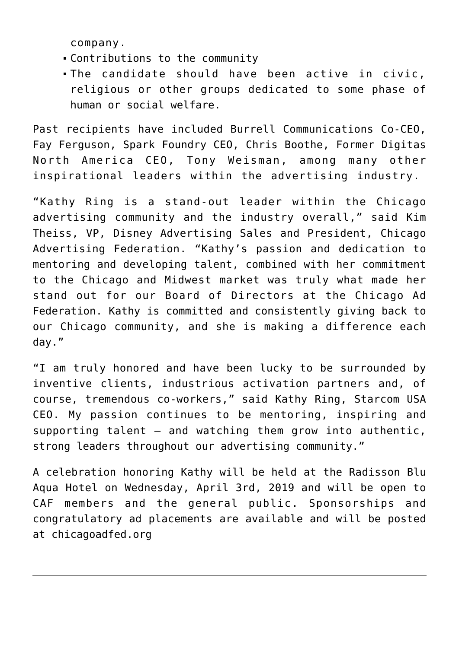company.

- Contributions to the community
- The candidate should have been active in civic, religious or other groups dedicated to some phase of human or social welfare.

Past recipients have included Burrell Communications Co-CEO, Fay Ferguson, Spark Foundry CEO, Chris Boothe, Former Digitas North America CEO, Tony Weisman, among many other inspirational leaders within the advertising industry.

"Kathy Ring is a stand-out leader within the Chicago advertising community and the industry overall," said Kim Theiss, VP, Disney Advertising Sales and President, Chicago Advertising Federation. "Kathy's passion and dedication to mentoring and developing talent, combined with her commitment to the Chicago and Midwest market was truly what made her stand out for our Board of Directors at the Chicago Ad Federation. Kathy is committed and consistently giving back to our Chicago community, and she is making a difference each day."

"I am truly honored and have been lucky to be surrounded by inventive clients, industrious activation partners and, of course, tremendous co-workers," said Kathy Ring, Starcom USA CEO. My passion continues to be mentoring, inspiring and supporting talent – and watching them grow into authentic, strong leaders throughout our advertising community."

A celebration honoring Kathy will be held at the Radisson Blu Aqua Hotel on Wednesday, April 3rd, 2019 and will be open to CAF members and the general public. Sponsorships and congratulatory ad placements are available and will be posted at chicagoadfed.org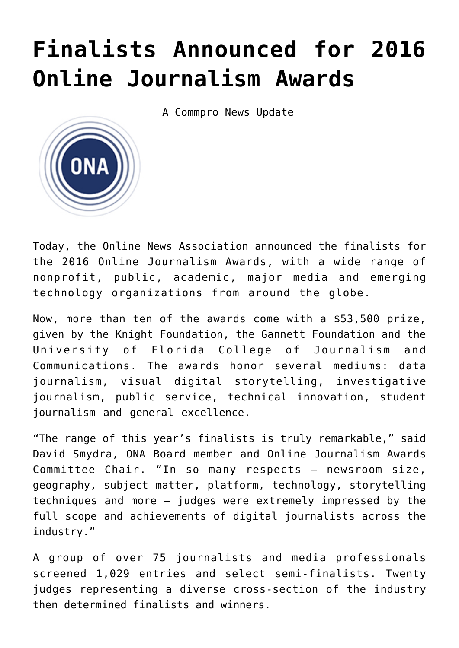## **[Finalists Announced for 2016](https://www.commpro.biz/2016-online-journalism-awards-finalists-announced/) [Online Journalism Awards](https://www.commpro.biz/2016-online-journalism-awards-finalists-announced/)**

A Commpro News Update



Today, the [Online News Association](https://journalists.org/awards/) announced the finalists for the 2016 Online Journalism Awards, with a wide range of nonprofit, public, academic, major media and emerging technology organizations from around the globe.

Now, more than ten of the awards come with a \$53,500 prize, given by the Knight Foundation, the Gannett Foundation and the University of Florida College of Journalism and Communications. The awards honor several mediums: data journalism, visual digital storytelling, investigative journalism, public service, technical innovation, student journalism and general excellence.

"The range of this year's finalists is truly remarkable," said David Smydra, ONA Board member and Online Journalism Awards Committee Chair. "In so many respects — newsroom size, geography, subject matter, platform, technology, storytelling techniques and more — judges were extremely impressed by the full scope and achievements of digital journalists across the industry."

A group of over 75 journalists and media professionals screened 1,029 entries and select semi-finalists. Twenty judges representing a diverse cross-section of the industry then determined finalists and winners.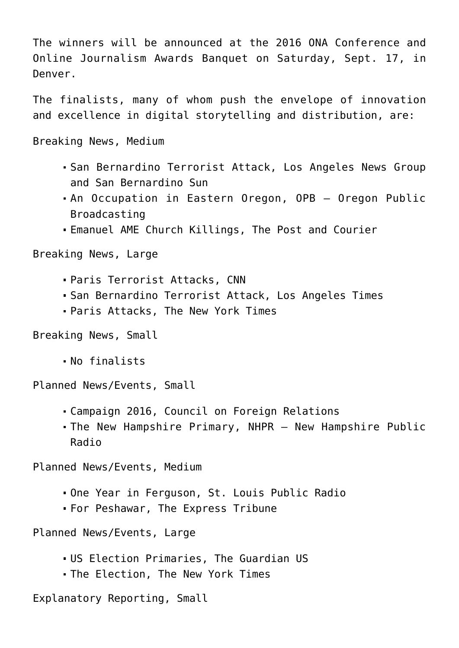The winners will be announced at the 2016 ONA Conference and [Online Journalism Awards](https://journalists.org/awards/) Banquet on Saturday, Sept. 17, in Denver.

The finalists, many of whom push the envelope of innovation and excellence in digital storytelling and distribution, are:

Breaking News, Medium

- San Bernardino Terrorist Attack, Los Angeles News Group and San Bernardino Sun
- An Occupation in Eastern Oregon, OPB Oregon Public Broadcasting
- Emanuel AME Church Killings, The Post and Courier

Breaking News, Large

- Paris Terrorist Attacks, CNN
- San Bernardino Terrorist Attack, Los Angeles Times
- Paris Attacks, The New York Times

Breaking News, Small

No finalists

Planned News/Events, Small

- Campaign 2016, Council on Foreign Relations
- The New Hampshire Primary, NHPR New Hampshire Public Radio

Planned News/Events, Medium

- One Year in Ferguson, St. Louis Public Radio
- For Peshawar, The Express Tribune

Planned News/Events, Large

- US Election Primaries, The Guardian US
- The Election, The New York Times

Explanatory Reporting, Small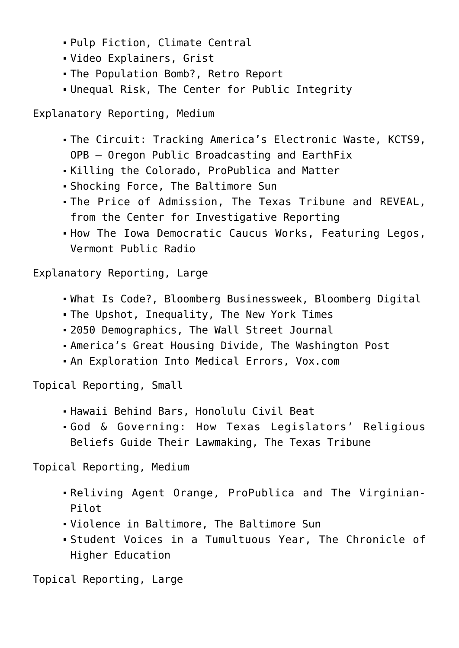- Pulp Fiction, Climate Central
- Video Explainers, Grist
- The Population Bomb?, Retro Report
- Unequal Risk, The Center for Public Integrity

Explanatory Reporting, Medium

- The Circuit: Tracking America's Electronic Waste, KCTS9, OPB – Oregon Public Broadcasting and EarthFix
- Killing the Colorado, ProPublica and Matter
- Shocking Force, The Baltimore Sun
- The Price of Admission, The Texas Tribune and REVEAL, from the Center for Investigative Reporting
- How The Iowa Democratic Caucus Works, Featuring Legos, Vermont Public Radio

Explanatory Reporting, Large

- What Is Code?, Bloomberg Businessweek, Bloomberg Digital
- The Upshot, Inequality, The New York Times
- 2050 Demographics, The Wall Street Journal
- America's Great Housing Divide, The Washington Post
- An Exploration Into Medical Errors, Vox.com

Topical Reporting, Small

- Hawaii Behind Bars, Honolulu Civil Beat
- God & Governing: How Texas Legislators' Religious Beliefs Guide Their Lawmaking, The Texas Tribune

Topical Reporting, Medium

- Reliving Agent Orange, ProPublica and The Virginian-Pilot
- Violence in Baltimore, The Baltimore Sun
- Student Voices in a Tumultuous Year, The Chronicle of Higher Education

Topical Reporting, Large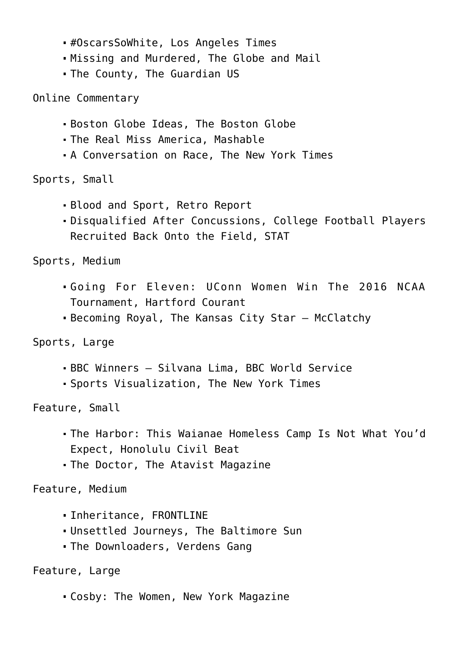- #OscarsSoWhite, Los Angeles Times
- Missing and Murdered, The Globe and Mail
- The County, The Guardian US

Online Commentary

- Boston Globe Ideas, The Boston Globe
- The Real Miss America, Mashable
- A Conversation on Race, The New York Times

Sports, Small

- Blood and Sport, Retro Report
- Disqualified After Concussions, College Football Players Recruited Back Onto the Field, STAT

Sports, Medium

- Going For Eleven: UConn Women Win The 2016 NCAA Tournament, Hartford Courant
- Becoming Royal, The Kansas City Star McClatchy

Sports, Large

- BBC Winners Silvana Lima, BBC World Service
- Sports Visualization, The New York Times

Feature, Small

- The Harbor: This Waianae Homeless Camp Is Not What You'd Expect, Honolulu Civil Beat
- The Doctor, The Atavist Magazine

Feature, Medium

- Inheritance, FRONTLINE
- Unsettled Journeys, The Baltimore Sun
- The Downloaders, Verdens Gang

Feature, Large

Cosby: The Women, New York Magazine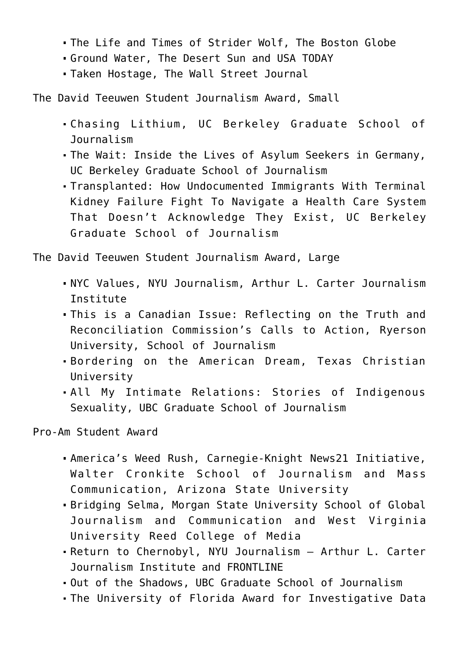- The Life and Times of Strider Wolf, The Boston Globe
- Ground Water, The Desert Sun and USA TODAY
- Taken Hostage, The Wall Street Journal

The David Teeuwen Student Journalism Award, Small

- Chasing Lithium, UC Berkeley Graduate School of Journalism
- The Wait: Inside the Lives of Asylum Seekers in Germany, UC Berkeley Graduate School of Journalism
- Transplanted: How Undocumented Immigrants With Terminal Kidney Failure Fight To Navigate a Health Care System That Doesn't Acknowledge They Exist, UC Berkeley Graduate School of Journalism

The David Teeuwen Student Journalism Award, Large

- NYC Values, NYU Journalism, Arthur L. Carter Journalism Institute
- This is a Canadian Issue: Reflecting on the Truth and Reconciliation Commission's Calls to Action, Ryerson University, School of Journalism
- Bordering on the American Dream, Texas Christian University
- All My Intimate Relations: Stories of Indigenous Sexuality, UBC Graduate School of Journalism

Pro-Am Student Award

- America's Weed Rush, Carnegie-Knight News21 Initiative, Walter Cronkite School of Journalism and Mass Communication, Arizona State University
- Bridging Selma, Morgan State University School of Global Journalism and Communication and West Virginia University Reed College of Media
- Return to Chernobyl, NYU Journalism Arthur L. Carter Journalism Institute and FRONTLINE
- Out of the Shadows, UBC Graduate School of Journalism
- The University of Florida Award for Investigative Data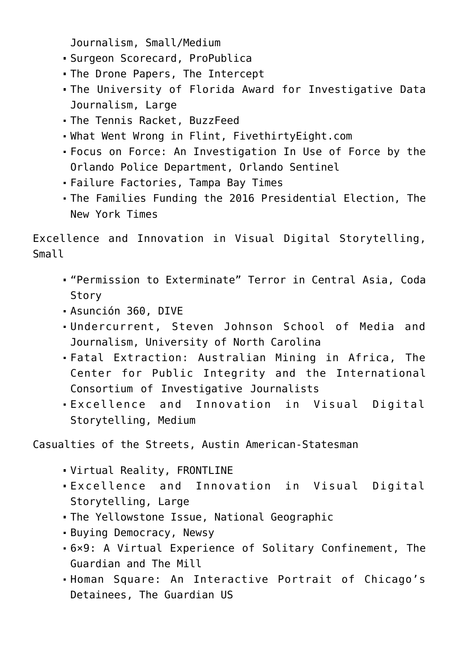Journalism, Small/Medium

- Surgeon Scorecard, ProPublica
- The Drone Papers, The Intercept
- The University of Florida Award for Investigative Data Journalism, Large
- The Tennis Racket, BuzzFeed
- What Went Wrong in Flint, FivethirtyEight.com
- Focus on Force: An Investigation In Use of Force by the Orlando Police Department, Orlando Sentinel
- Failure Factories, Tampa Bay Times
- The Families Funding the 2016 Presidential Election, The New York Times

Excellence and Innovation in Visual Digital Storytelling, Small

- "Permission to Exterminate" Terror in Central Asia, Coda Story
- Asunción 360, DIVE
- Undercurrent, Steven Johnson School of Media and Journalism, University of North Carolina
- Fatal Extraction: Australian Mining in Africa, The Center for Public Integrity and the International Consortium of Investigative Journalists
- Excellence and Innovation in Visual Digital Storytelling, Medium

Casualties of the Streets, Austin American-Statesman

- Virtual Reality, FRONTLINE
- Excellence and Innovation in Visual Digital Storytelling, Large
- The Yellowstone Issue, National Geographic
- Buying Democracy, Newsy
- 6×9: A Virtual Experience of Solitary Confinement, The Guardian and The Mill
- Homan Square: An Interactive Portrait of Chicago's Detainees, The Guardian US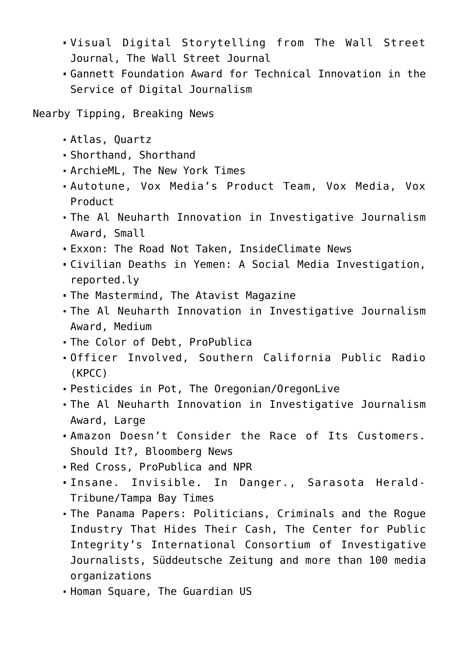- Visual Digital Storytelling from The Wall Street Journal, The Wall Street Journal
- Gannett Foundation Award for Technical Innovation in the Service of Digital Journalism

Nearby Tipping, Breaking News

- Atlas, Quartz
- Shorthand, Shorthand
- ArchieML, The New York Times
- Autotune, Vox Media's Product Team, Vox Media, Vox Product
- The Al Neuharth Innovation in Investigative Journalism Award, Small
- Exxon: The Road Not Taken, InsideClimate News
- Civilian Deaths in Yemen: A Social Media Investigation, reported.ly
- The Mastermind, The Atavist Magazine
- The Al Neuharth Innovation in Investigative Journalism Award, Medium
- The Color of Debt, ProPublica
- Officer Involved, Southern California Public Radio (KPCC)
- Pesticides in Pot, The Oregonian/OregonLive
- The Al Neuharth Innovation in Investigative Journalism Award, Large
- Amazon Doesn't Consider the Race of Its Customers. Should It?, Bloomberg News
- Red Cross, ProPublica and NPR
- Insane. Invisible. In Danger., Sarasota Herald-Tribune/Tampa Bay Times
- The Panama Papers: Politicians, Criminals and the Rogue Industry That Hides Their Cash, The Center for Public Integrity's International Consortium of Investigative Journalists, Süddeutsche Zeitung and more than 100 media organizations
- Homan Square, The Guardian US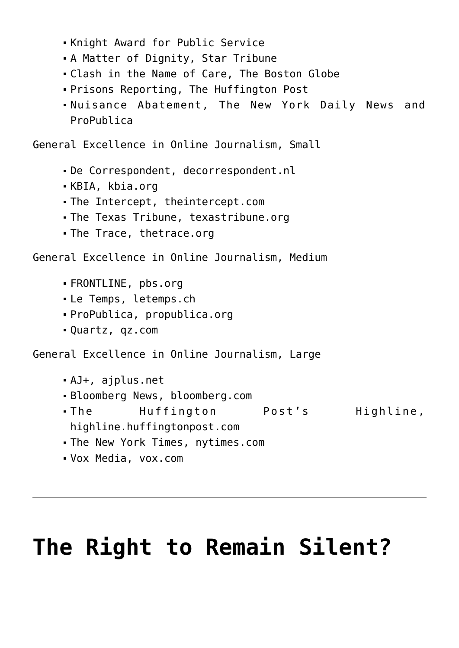- Knight Award for Public Service
- A Matter of Dignity, Star Tribune
- Clash in the Name of Care, The Boston Globe
- Prisons Reporting, The Huffington Post
- Nuisance Abatement, The New York Daily News and ProPublica

General Excellence in Online Journalism, Small

- De Correspondent, decorrespondent.nl
- KBIA, kbia.org
- The Intercept, theintercept.com
- The Texas Tribune, texastribune.org
- The Trace, thetrace.org

General Excellence in Online Journalism, Medium

- FRONTLINE, pbs.org
- Le Temps, letemps.ch
- ProPublica, propublica.org
- Quartz, qz.com

General Excellence in Online Journalism, Large

- AJ+, ajplus.net
- Bloomberg News, bloomberg.com
- The Huffington Post's Highline, highline.huffingtonpost.com
- The New York Times, nytimes.com
- Vox Media, vox.com

## **[The Right to Remain Silent?](https://www.commpro.biz/the-right-to-remain-silent/)**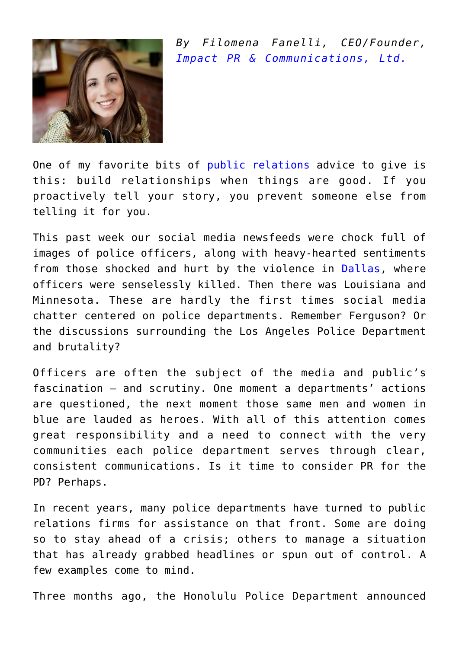

*By Filomena Fanelli, CEO/Founder, [Impact PR & Communications, Ltd.](https://www.prwithimpact.com/)*

One of my favorite bits of [public relations](https://www.commpro.biz/public-relations-section/) advice to give is this: build relationships when things are good. If you proactively tell your story, you prevent someone else from telling it for you.

This past week our social media newsfeeds were chock full of images of police officers, along with heavy-hearted sentiments from those shocked and hurt by the violence in [Dallas,](https://news.google.com/news/section?cf=all&hl=en&pz=1&ned=us&q=Dallas%20Police%20Department&topicsid=FRONTPAGE&ict=ln&topicnv=__AB21PFxhtUqaM1FwXMtTeSvpOsa3p9KTRnY0D04GMeQhOHClY31xa9AtavgVBmfwkvEOrfnjuyzmGJZYzV8-o7hsq4lpsSRyryAo8wSgMWcOC92jIw3ClRKgs6C36CMPSyByu4546fVqmUtkFr6plQohcEEiCxyyTf4YUi6HA1sdEeJgfQ6M6mMYLQHfNB_e4SUCfRrlzy4ESxqn0Vx3RsLzDZyYno-9AdkSqFTuWlzNdtRqZwm4-1GwSavrcmG_vbySjiynIUa2IHQFXUtBHHA0s4NmIygk0MqljayJtur67a5Tst7ITSXexNxXaQT22FZLIxwA3bQ5a4LiJg-1ShsRj_eHSbiObD9emUIzoTSodSae8uRT0grW-WAyZg1yzjrje8cn4p9lqL4LyN0MaSTDMM-K77wLXHjrKq9C4z_wKbP-rWoPRgq0CzSBAB2MmTMIcPgekQmhxNoJisvf5haU3PGnKSopC0kEbflOHToyTeic1N5klWuxi8hYRkXsuOe6AxgOOuICR3XyTfgoRKs_d0nLkZrtBwRgBfVl8frOPcf2EpwGwk1TmN8dvK4YtL4s2R3hH50kUscz4MrZhgS_K_kHnotBUnYkLdiT2p9f-GRyBKAvcqNe6eodPaS5lKrR_2KVNI1KyuIAeSTwFNMURlSfMmIP7ZlM5bpx3p4IlfechSbkA7bHVL-SW0nkx5VtKAxB1imXd-6WRJGsqwZ6qKsPRBsqMgTxdXwC0vYqYAPzTZiH02pe53AszqaZ67JazI4LsVjZ&siidp=5f2db913e38b1085edfb12de7ef1136c68b9) where officers were senselessly killed. Then there was Louisiana and Minnesota. These are hardly the first times social media chatter centered on police departments. Remember Ferguson? Or the discussions surrounding the Los Angeles Police Department and brutality?

Officers are often the subject of the media and public's fascination – and scrutiny. One moment a departments' actions are questioned, the next moment those same men and women in blue are lauded as heroes. With all of this attention comes great responsibility and a need to connect with the very communities each police department serves through clear, consistent communications. Is it time to consider PR for the PD? Perhaps.

In recent years, many police departments have turned to public relations firms for assistance on that front. Some are doing so to stay ahead of a crisis; others to manage a situation that has already grabbed headlines or spun out of control. A few examples come to mind.

Three months ago, the Honolulu Police Department announced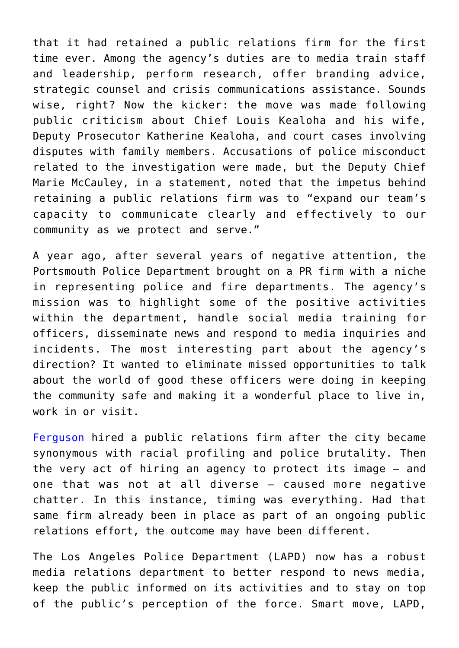that it had retained a public relations firm for the first time ever. Among the agency's duties are to media train staff and leadership, perform research, offer branding advice, strategic counsel and crisis communications assistance. Sounds wise, right? Now the kicker: the move was made following public criticism about Chief Louis Kealoha and his wife, Deputy Prosecutor Katherine Kealoha, and court cases involving disputes with family members. Accusations of police misconduct related to the investigation were made, but the Deputy Chief Marie McCauley, in a statement, noted that the impetus behind retaining a public relations firm was to "expand our team's capacity to communicate clearly and effectively to our community as we protect and serve."

A year ago, after several years of negative attention, the Portsmouth Police Department brought on a PR firm with a niche in representing police and fire departments. The agency's mission was to highlight some of the positive activities within the department, handle social media training for officers, disseminate news and respond to media inquiries and incidents. The most interesting part about the agency's direction? It wanted to eliminate missed opportunities to talk about the world of good these officers were doing in keeping the community safe and making it a wonderful place to live in, work in or visit.

[Ferguson](https://www.commpro.biz/?s=Ferguson) hired a public relations firm after the city became synonymous with racial profiling and police brutality. Then the very act of hiring an agency to protect its image – and one that was not at all diverse – caused more negative chatter. In this instance, timing was everything. Had that same firm already been in place as part of an ongoing public relations effort, the outcome may have been different.

The Los Angeles Police Department (LAPD) now has a robust media relations department to better respond to news media, keep the public informed on its activities and to stay on top of the public's perception of the force. Smart move, LAPD,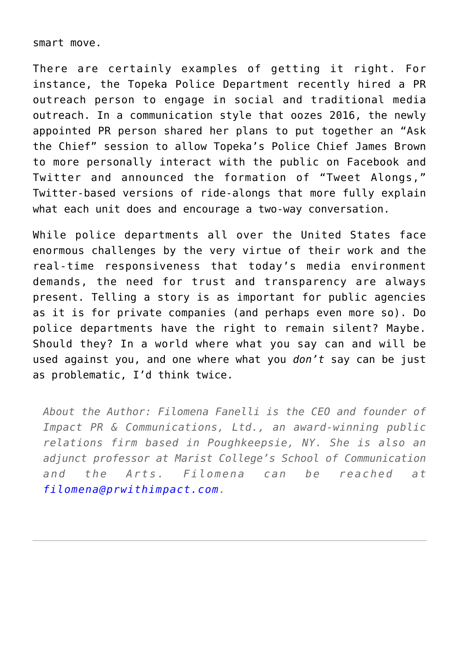smart move.

There are certainly examples of getting it right. For instance, the Topeka Police Department recently hired a PR outreach person to engage in social and traditional media outreach. In a communication style that oozes 2016, the newly appointed PR person shared her plans to put together an "Ask the Chief" session to allow Topeka's Police Chief James Brown to more personally interact with the public on Facebook and Twitter and announced the formation of "Tweet Alongs," Twitter-based versions of ride-alongs that more fully explain what each unit does and encourage a two-way conversation.

While police departments all over the United States face enormous challenges by the very virtue of their work and the real-time responsiveness that today's media environment demands, the need for trust and transparency are always present. Telling a story is as important for public agencies as it is for private companies (and perhaps even more so). Do police departments have the right to remain silent? Maybe. Should they? In a world where what you say can and will be used against you, and one where what you *don't* say can be just as problematic, I'd think twice.

*About the Author: Filomena Fanelli is the CEO and founder of Impact PR & Communications, Ltd., an award-winning public relations firm based in Poughkeepsie, NY. She is also an adjunct professor at Marist College's School of Communication and the Arts. Filomena can be reached at [filomena@prwithimpact.com](mailto:filomena@prwithimpact.com).*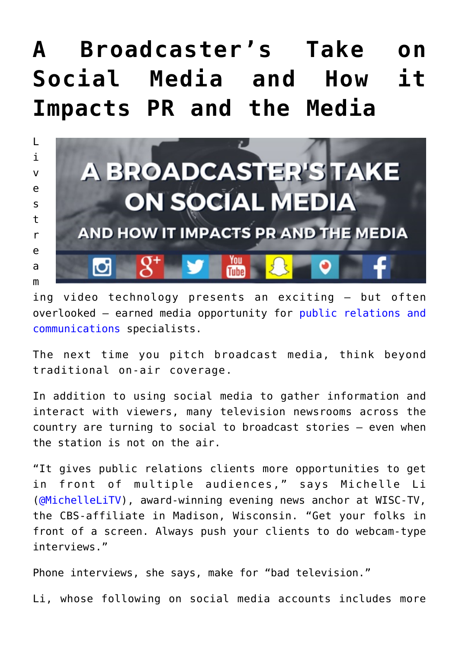## **[A Broadcaster's Take on](https://www.commpro.biz/a-broadcasters-take-on-social-media-and-how-it-impacts-pr-and-the-media/) [Social Media and How it](https://www.commpro.biz/a-broadcasters-take-on-social-media-and-how-it-impacts-pr-and-the-media/) [Impacts PR and the Media](https://www.commpro.biz/a-broadcasters-take-on-social-media-and-how-it-impacts-pr-and-the-media/)**



ing video technology presents an exciting — but often overlooked — earned media opportunity for [public relations and](https://www.commpro.biz/agile-engagement-channel/) [communications](https://www.commpro.biz/agile-engagement-channel/) specialists.

The next time you pitch broadcast media, think beyond traditional on-air coverage.

In addition to using social media to gather information and interact with viewers, many television newsrooms across the country are turning to social to broadcast stories – even when the station is not on the air.

"It gives public relations clients more opportunities to get in front of multiple audiences," says Michelle Li ([@MichelleLiTV](https://twitter.com/MichelleLiTV)), award-winning evening news anchor at WISC-TV, the CBS-affiliate in Madison, Wisconsin. "Get your folks in front of a screen. Always push your clients to do webcam-type interviews."

Phone interviews, she says, make for "bad television."

Li, whose following on social media accounts includes more